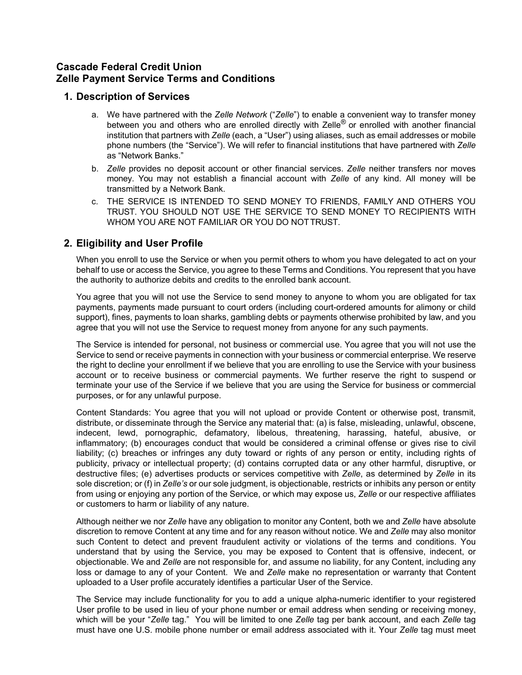## **Cascade Federal Credit Union Zelle Payment Service Terms and Conditions**

## **1. Description of Services**

- a. We have partnered with the *Zelle Network* ("*Zelle*") to enable a convenient way to transfer money between you and others who are enrolled directly with Zelle<sup>®</sup> or enrolled with another financial institution that partners with *Zelle* (each, a "User") using aliases, such as email addresses or mobile phone numbers (the "Service"). We will refer to financial institutions that have partnered with *Zelle*  as "Network Banks."
- b. *Zelle* provides no deposit account or other financial services. *Zelle* neither transfers nor moves money. You may not establish a financial account with *Zelle* of any kind. All money will be transmitted by a Network Bank.
- c. THE SERVICE IS INTENDED TO SEND MONEY TO FRIENDS, FAMILY AND OTHERS YOU TRUST. YOU SHOULD NOT USE THE SERVICE TO SEND MONEY TO RECIPIENTS WITH WHOM YOU ARE NOT FAMILIAR OR YOU DO NOT TRUST.

# **2. Eligibility and User Profile**

When you enroll to use the Service or when you permit others to whom you have delegated to act on your behalf to use or access the Service, you agree to these Terms and Conditions. You represent that you have the authority to authorize debits and credits to the enrolled bank account.

You agree that you will not use the Service to send money to anyone to whom you are obligated for tax payments, payments made pursuant to court orders (including court-ordered amounts for alimony or child support), fines, payments to loan sharks, gambling debts or payments otherwise prohibited by law, and you agree that you will not use the Service to request money from anyone for any such payments.

The Service is intended for personal, not business or commercial use. You agree that you will not use the Service to send or receive payments in connection with your business or commercial enterprise. We reserve the right to decline your enrollment if we believe that you are enrolling to use the Service with your business account or to receive business or commercial payments. We further reserve the right to suspend or terminate your use of the Service if we believe that you are using the Service for business or commercial purposes, or for any unlawful purpose.

Content Standards: You agree that you will not upload or provide Content or otherwise post, transmit, distribute, or disseminate through the Service any material that: (a) is false, misleading, unlawful, obscene, indecent, lewd, pornographic, defamatory, libelous, threatening, harassing, hateful, abusive, or inflammatory; (b) encourages conduct that would be considered a criminal offense or gives rise to civil liability; (c) breaches or infringes any duty toward or rights of any person or entity, including rights of publicity, privacy or intellectual property; (d) contains corrupted data or any other harmful, disruptive, or destructive files; (e) advertises products or services competitive with *Zelle*, as determined by *Zelle* in its sole discretion; or (f) in *Zelle's* or our sole judgment, is objectionable, restricts or inhibits any person or entity from using or enjoying any portion of the Service, or which may expose us, *Zelle* or our respective affiliates or customers to harm or liability of any nature.

Although neither we nor *Zelle* have any obligation to monitor any Content, both we and *Zelle* have absolute discretion to remove Content at any time and for any reason without notice. We and *Zelle* may also monitor such Content to detect and prevent fraudulent activity or violations of the terms and conditions. You understand that by using the Service, you may be exposed to Content that is offensive, indecent, or objectionable. We and *Zelle* are not responsible for, and assume no liability, for any Content, including any loss or damage to any of your Content. We and *Zelle* make no representation or warranty that Content uploaded to a User profile accurately identifies a particular User of the Service.

The Service may include functionality for you to add a unique alpha-numeric identifier to your registered User profile to be used in lieu of your phone number or email address when sending or receiving money, which will be your "*Zelle* tag." You will be limited to one *Zelle* tag per bank account, and each *Zelle* tag must have one U.S. mobile phone number or email address associated with it. Your *Zelle* tag must meet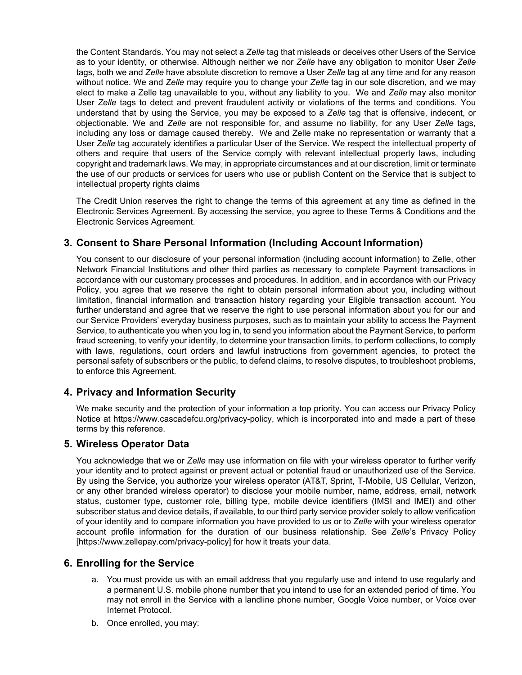the Content Standards. You may not select a *Zelle* tag that misleads or deceives other Users of the Service as to your identity, or otherwise. Although neither we nor *Zelle* have any obligation to monitor User *Zelle* tags, both we and *Zelle* have absolute discretion to remove a User *Zelle* tag at any time and for any reason without notice. We and *Zelle* may require you to change your *Zelle* tag in our sole discretion, and we may elect to make a Zelle tag unavailable to you, without any liability to you. We and *Zelle* may also monitor User *Zelle* tags to detect and prevent fraudulent activity or violations of the terms and conditions. You understand that by using the Service, you may be exposed to a *Zelle* tag that is offensive, indecent, or objectionable. We and *Zelle* are not responsible for, and assume no liability, for any User *Zelle* tags, including any loss or damage caused thereby. We and Zelle make no representation or warranty that a User *Zelle* tag accurately identifies a particular User of the Service. We respect the intellectual property of others and require that users of the Service comply with relevant intellectual property laws, including copyright and trademark laws. We may, in appropriate circumstances and at our discretion, limit or terminate the use of our products or services for users who use or publish Content on the Service that is subject to intellectual property rights claims

The Credit Union reserves the right to change the terms of this agreement at any time as defined in the Electronic Services Agreement. By accessing the service, you agree to these Terms & Conditions and the Electronic Services Agreement.

# **3. Consent to Share Personal Information (Including Account Information)**

You consent to our disclosure of your personal information (including account information) to Zelle, other Network Financial Institutions and other third parties as necessary to complete Payment transactions in accordance with our customary processes and procedures. In addition, and in accordance with our Privacy Policy, you agree that we reserve the right to obtain personal information about you, including without limitation, financial information and transaction history regarding your Eligible transaction account. You further understand and agree that we reserve the right to use personal information about you for our and our Service Providers' everyday business purposes, such as to maintain your ability to access the Payment Service, to authenticate you when you log in, to send you information about the Payment Service, to perform fraud screening, to verify your identity, to determine your transaction limits, to perform collections, to comply with laws, regulations, court orders and lawful instructions from government agencies, to protect the personal safety of subscribers or the public, to defend claims, to resolve disputes, to troubleshoot problems, to enforce this Agreement.

## **4. Privacy and Information Security**

We make security and the protection of your information a top priority. You can access our Privacy Policy Notice at https://www.cascadefcu.org/privacy-policy, which is incorporated into and made a part of these terms by this reference.

## **5. Wireless Operator Data**

You acknowledge that we or *Zelle* may use information on file with your wireless operator to further verify your identity and to protect against or prevent actual or potential fraud or unauthorized use of the Service. By using the Service, you authorize your wireless operator (AT&T, Sprint, T-Mobile, US Cellular, Verizon, or any other branded wireless operator) to disclose your mobile number, name, address, email, network status, customer type, customer role, billing type, mobile device identifiers (IMSI and IMEI) and other subscriber status and device details, if available, to our third party service provider solely to allow verification of your identity and to compare information you have provided to us or to *Zelle* with your wireless operator account profile information for the duration of our business relationship. See *Zelle*'s Privacy Policy [https://www.zellepay.com/privacy-policy] for how it treats your data.

## **6. Enrolling for the Service**

- a. You must provide us with an email address that you regularly use and intend to use regularly and a permanent U.S. mobile phone number that you intend to use for an extended period of time. You may not enroll in the Service with a landline phone number, Google Voice number, or Voice over Internet Protocol.
- b. Once enrolled, you may: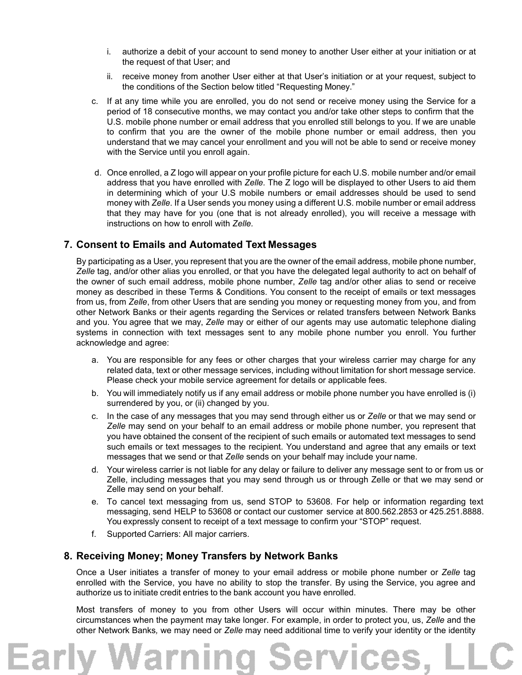- i. authorize a debit of your account to send money to another User either at your initiation or at the request of that User; and
- ii. receive money from another User either at that User's initiation or at your request, subject to the conditions of the Section below titled "Requesting Money."
- c. If at any time while you are enrolled, you do not send or receive money using the Service for a period of 18 consecutive months, we may contact you and/or take other steps to confirm that the U.S. mobile phone number or email address that you enrolled still belongs to you. If we are unable to confirm that you are the owner of the mobile phone number or email address, then you understand that we may cancel your enrollment and you will not be able to send or receive money with the Service until you enroll again.
- d. Once enrolled, a Z logo will appear on your profile picture for each U.S. mobile number and/or email address that you have enrolled with *Zelle.* The Z logo will be displayed to other Users to aid them in determining which of your U.S mobile numbers or email addresses should be used to send money with *Zelle*. If a User sends you money using a different U.S. mobile number or email address that they may have for you (one that is not already enrolled), you will receive a message with instructions on how to enroll with *Zelle.*

## **7. Consent to Emails and Automated Text Messages**

By participating as a User, you represent that you are the owner of the email address, mobile phone number, *Zelle* tag, and/or other alias you enrolled, or that you have the delegated legal authority to act on behalf of the owner of such email address, mobile phone number, *Zelle* tag and/or other alias to send or receive money as described in these Terms & Conditions. You consent to the receipt of emails or text messages from us, from *Zelle*, from other Users that are sending you money or requesting money from you, and from other Network Banks or their agents regarding the Services or related transfers between Network Banks and you. You agree that we may, *Zelle* may or either of our agents may use automatic telephone dialing systems in connection with text messages sent to any mobile phone number you enroll. You further acknowledge and agree:

- a. You are responsible for any fees or other charges that your wireless carrier may charge for any related data, text or other message services, including without limitation for short message service. Please check your mobile service agreement for details or applicable fees.
- b. You will immediately notify us if any email address or mobile phone number you have enrolled is (i) surrendered by you, or (ii) changed by you.
- c. In the case of any messages that you may send through either us or *Zelle* or that we may send or *Zelle* may send on your behalf to an email address or mobile phone number, you represent that you have obtained the consent of the recipient of such emails or automated text messages to send such emails or text messages to the recipient. You understand and agree that any emails or text messages that we send or that *Zelle* sends on your behalf may include your name.
- d. Your wireless carrier is not liable for any delay or failure to deliver any message sent to or from us or Zelle, including messages that you may send through us or through Zelle or that we may send or Zelle may send on your behalf.
- e. To cancel text messaging from us, send STOP to 53608. For help or information regarding text messaging, send HELP to 53608 or contact our customer service at 800.562.2853 or 425.251.8888. You expressly consent to receipt of a text message to confirm your "STOP" request.
- f. Supported Carriers: All major carriers.

## **8. Receiving Money; Money Transfers by Network Banks**

Once a User initiates a transfer of money to your email address or mobile phone number or *Zelle* tag enrolled with the Service, you have no ability to stop the transfer. By using the Service, you agree and authorize us to initiate credit entries to the bank account you have enrolled.

Most transfers of money to you from other Users will occur within minutes. There may be other circumstances when the payment may take longer. For example, in order to protect you, us, *Zelle* and the other Network Banks*,* we may need or *Zelle* may need additional time to verify your identity or the identity

ervico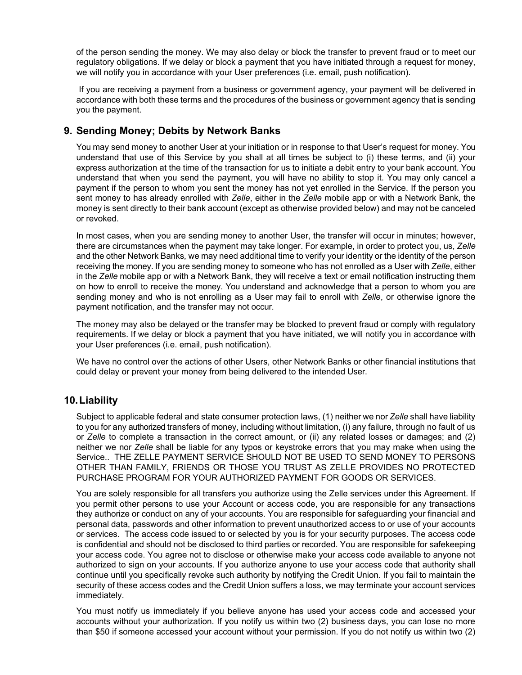of the person sending the money. We may also delay or block the transfer to prevent fraud or to meet our regulatory obligations. If we delay or block a payment that you have initiated through a request for money, we will notify you in accordance with your User preferences (i.e. email, push notification).

If you are receiving a payment from a business or government agency, your payment will be delivered in accordance with both these terms and the procedures of the business or government agency that is sending you the payment.

## **9. Sending Money; Debits by Network Banks**

You may send money to another User at your initiation or in response to that User's request for money. You understand that use of this Service by you shall at all times be subject to (i) these terms, and (ii) your express authorization at the time of the transaction for us to initiate a debit entry to your bank account. You understand that when you send the payment, you will have no ability to stop it. You may only cancel a payment if the person to whom you sent the money has not yet enrolled in the Service. If the person you sent money to has already enrolled with *Zelle*, either in the *Zelle* mobile app or with a Network Bank, the money is sent directly to their bank account (except as otherwise provided below) and may not be canceled or revoked.

In most cases, when you are sending money to another User, the transfer will occur in minutes; however, there are circumstances when the payment may take longer. For example, in order to protect you, us, *Zelle*  and the other Network Banks*,* we may need additional time to verify your identity or the identity of the person receiving the money. If you are sending money to someone who has not enrolled as a User with *Zelle*, either in the *Zelle* mobile app or with a Network Bank, they will receive a text or email notification instructing them on how to enroll to receive the money. You understand and acknowledge that a person to whom you are sending money and who is not enrolling as a User may fail to enroll with *Zelle*, or otherwise ignore the payment notification, and the transfer may not occur.

The money may also be delayed or the transfer may be blocked to prevent fraud or comply with regulatory requirements. If we delay or block a payment that you have initiated, we will notify you in accordance with your User preferences (i.e. email, push notification).

We have no control over the actions of other Users, other Network Banks or other financial institutions that could delay or prevent your money from being delivered to the intended User.

## **10. Liability**

Subject to applicable federal and state consumer protection laws, (1) neither we nor *Zelle* shall have liability to you for any authorized transfers of money, including without limitation, (i) any failure, through no fault of us or *Zelle* to complete a transaction in the correct amount, or (ii) any related losses or damages; and (2) neither we nor *Zelle* shall be liable for any typos or keystroke errors that you may make when using the Service.. THE ZELLE PAYMENT SERVICE SHOULD NOT BE USED TO SEND MONEY TO PERSONS OTHER THAN FAMILY, FRIENDS OR THOSE YOU TRUST AS ZELLE PROVIDES NO PROTECTED PURCHASE PROGRAM FOR YOUR AUTHORIZED PAYMENT FOR GOODS OR SERVICES.

You are solely responsible for all transfers you authorize using the Zelle services under this Agreement. If you permit other persons to use your Account or access code, you are responsible for any transactions they authorize or conduct on any of your accounts. You are responsible for safeguarding your financial and personal data, passwords and other information to prevent unauthorized access to or use of your accounts or services. The access code issued to or selected by you is for your security purposes. The access code is confidential and should not be disclosed to third parties or recorded. You are responsible for safekeeping your access code. You agree not to disclose or otherwise make your access code available to anyone not authorized to sign on your accounts. If you authorize anyone to use your access code that authority shall continue until you specifically revoke such authority by notifying the Credit Union. If you fail to maintain the security of these access codes and the Credit Union suffers a loss, we may terminate your account services immediately.

You must notify us immediately if you believe anyone has used your access code and accessed your accounts without your authorization. If you notify us within two (2) business days, you can lose no more than \$50 if someone accessed your account without your permission. If you do not notify us within two (2)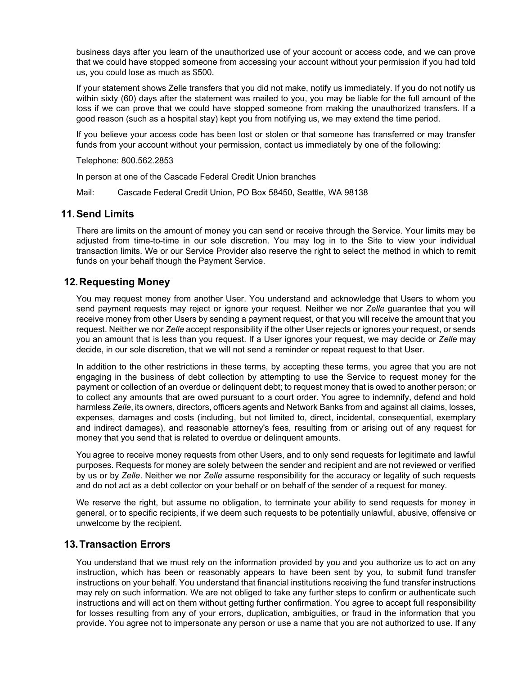business days after you learn of the unauthorized use of your account or access code, and we can prove that we could have stopped someone from accessing your account without your permission if you had told us, you could lose as much as \$500.

If your statement shows Zelle transfers that you did not make, notify us immediately. If you do not notify us within sixty (60) days after the statement was mailed to you, you may be liable for the full amount of the loss if we can prove that we could have stopped someone from making the unauthorized transfers. If a good reason (such as a hospital stay) kept you from notifying us, we may extend the time period.

If you believe your access code has been lost or stolen or that someone has transferred or may transfer funds from your account without your permission, contact us immediately by one of the following:

Telephone: 800.562.2853

In person at one of the Cascade Federal Credit Union branches

Mail: Cascade Federal Credit Union, PO Box 58450, Seattle, WA 98138

#### **11. Send Limits**

There are limits on the amount of money you can send or receive through the Service. Your limits may be adiusted from time-to-time in our sole discretion. You may log in to the Site to view your individual transaction limits. We or our Service Provider also reserve the right to select the method in which to remit funds on your behalf though the Payment Service.

#### **12. Requesting Money**

You may request money from another User. You understand and acknowledge that Users to whom you send payment requests may reject or ignore your request. Neither we nor *Zelle* guarantee that you will receive money from other Users by sending a payment request, or that you will receive the amount that you request. Neither we nor *Zelle* accept responsibility if the other User rejects or ignores your request, or sends you an amount that is less than you request. If a User ignores your request, we may decide or *Zelle* may decide, in our sole discretion, that we will not send a reminder or repeat request to that User.

In addition to the other restrictions in these terms, by accepting these terms, you agree that you are not engaging in the business of debt collection by attempting to use the Service to request money for the payment or collection of an overdue or delinquent debt; to request money that is owed to another person; or to collect any amounts that are owed pursuant to a court order. You agree to indemnify, defend and hold harmless *Zelle*, its owners, directors, officers agents and Network Banks from and against all claims, losses, expenses, damages and costs (including, but not limited to, direct, incidental, consequential, exemplary and indirect damages), and reasonable attorney's fees, resulting from or arising out of any request for money that you send that is related to overdue or delinquent amounts.

You agree to receive money requests from other Users, and to only send requests for legitimate and lawful purposes. Requests for money are solely between the sender and recipient and are not reviewed or verified by us or by *Zelle*. Neither we nor *Zelle* assume responsibility for the accuracy or legality of such requests and do not act as a debt collector on your behalf or on behalf of the sender of a request for money.

We reserve the right, but assume no obligation, to terminate your ability to send requests for money in general, or to specific recipients, if we deem such requests to be potentially unlawful, abusive, offensive or unwelcome by the recipient.

#### **13. Transaction Errors**

You understand that we must rely on the information provided by you and you authorize us to act on any instruction, which has been or reasonably appears to have been sent by you, to submit fund transfer instructions on your behalf. You understand that financial institutions receiving the fund transfer instructions may rely on such information. We are not obliged to take any further steps to confirm or authenticate such instructions and will act on them without getting further confirmation. You agree to accept full responsibility for losses resulting from any of your errors, duplication, ambiguities, or fraud in the information that you provide. You agree not to impersonate any person or use a name that you are not authorized to use. If any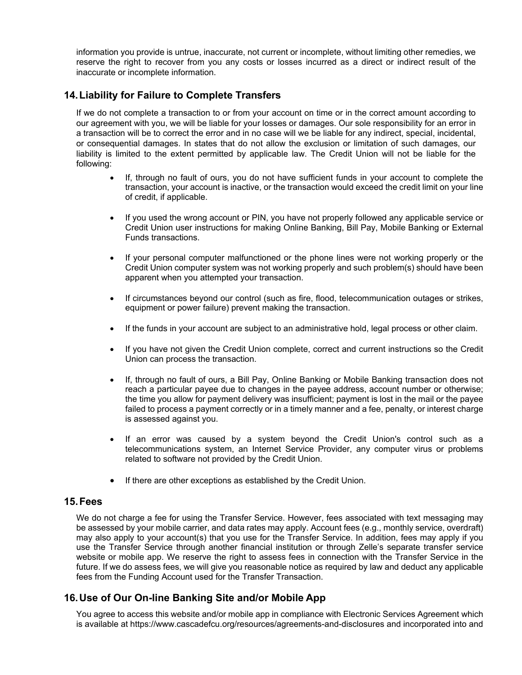information you provide is untrue, inaccurate, not current or incomplete, without limiting other remedies, we reserve the right to recover from you any costs or losses incurred as a direct or indirect result of the inaccurate or incomplete information.

## **14. Liability for Failure to Complete Transfers**

If we do not complete a transaction to or from your account on time or in the correct amount according to our agreement with you, we will be liable for your losses or damages. Our sole responsibility for an error in a transaction will be to correct the error and in no case will we be liable for any indirect, special, incidental, or consequential damages. In states that do not allow the exclusion or limitation of such damages, our liability is limited to the extent permitted by applicable law. The Credit Union will not be liable for the following:

- If, through no fault of ours, you do not have sufficient funds in your account to complete the transaction, your account is inactive, or the transaction would exceed the credit limit on your line of credit, if applicable.
- If you used the wrong account or PIN, you have not properly followed any applicable service or Credit Union user instructions for making Online Banking, Bill Pay, Mobile Banking or External Funds transactions.
- If your personal computer malfunctioned or the phone lines were not working properly or the Credit Union computer system was not working properly and such problem(s) should have been apparent when you attempted your transaction.
- If circumstances beyond our control (such as fire, flood, telecommunication outages or strikes, equipment or power failure) prevent making the transaction.
- If the funds in your account are subject to an administrative hold, legal process or other claim.
- If you have not given the Credit Union complete, correct and current instructions so the Credit Union can process the transaction.
- If, through no fault of ours, a Bill Pay, Online Banking or Mobile Banking transaction does not reach a particular payee due to changes in the payee address, account number or otherwise; the time you allow for payment delivery was insufficient; payment is lost in the mail or the payee failed to process a payment correctly or in a timely manner and a fee, penalty, or interest charge is assessed against you.
- If an error was caused by a system beyond the Credit Union's control such as a telecommunications system, an Internet Service Provider, any computer virus or problems related to software not provided by the Credit Union.
- If there are other exceptions as established by the Credit Union.

#### **15. Fees**

We do not charge a fee for using the Transfer Service. However, fees associated with text messaging may be assessed by your mobile carrier, and data rates may apply. Account fees (e.g., monthly service, overdraft) may also apply to your account(s) that you use for the Transfer Service. In addition, fees may apply if you use the Transfer Service through another financial institution or through Zelle's separate transfer service website or mobile app. We reserve the right to assess fees in connection with the Transfer Service in the future. If we do assess fees, we will give you reasonable notice as required by law and deduct any applicable fees from the Funding Account used for the Transfer Transaction.

## **16. Use of Our On-line Banking Site and/or Mobile App**

You agree to access this website and/or mobile app in compliance with Electronic Services Agreement which is available at https://www.cascadefcu.org/resources/agreements-and-disclosures and incorporated into and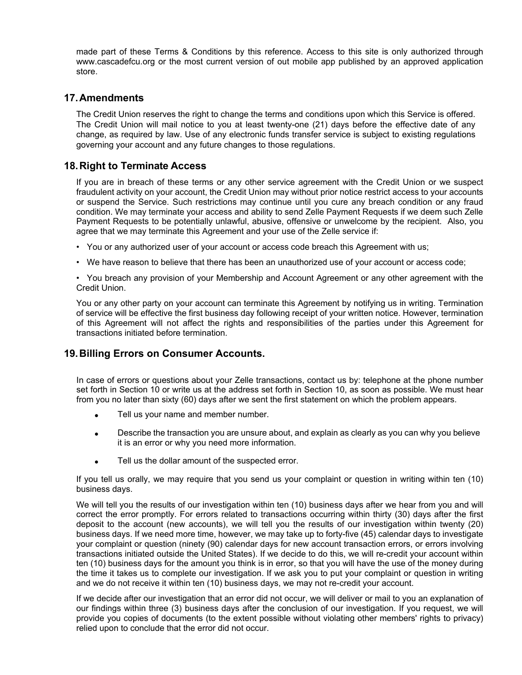made part of these Terms & Conditions by this reference. Access to this site is only authorized through www.cascadefcu.org or the most current version of out mobile app published by an approved application store.

## **17. Amendments**

The Credit Union reserves the right to change the terms and conditions upon which this Service is offered. The Credit Union will mail notice to you at least twenty-one (21) days before the effective date of any change, as required by law. Use of any electronic funds transfer service is subject to existing regulations governing your account and any future changes to those regulations.

## **18. Right to Terminate Access**

If you are in breach of these terms or any other service agreement with the Credit Union or we suspect fraudulent activity on your account, the Credit Union may without prior notice restrict access to your accounts or suspend the Service. Such restrictions may continue until you cure any breach condition or any fraud condition. We may terminate your access and ability to send Zelle Payment Requests if we deem such Zelle Payment Requests to be potentially unlawful, abusive, offensive or unwelcome by the recipient. Also, you agree that we may terminate this Agreement and your use of the Zelle service if:

- You or any authorized user of your account or access code breach this Agreement with us;
- We have reason to believe that there has been an unauthorized use of your account or access code;
- You breach any provision of your Membership and Account Agreement or any other agreement with the Credit Union.

You or any other party on your account can terminate this Agreement by notifying us in writing. Termination of service will be effective the first business day following receipt of your written notice. However, termination of this Agreement will not affect the rights and responsibilities of the parties under this Agreement for transactions initiated before termination.

## **19. Billing Errors on Consumer Accounts.**

In case of errors or questions about your Zelle transactions, contact us by: telephone at the phone number set forth in Section 10 or write us at the address set forth in Section 10, as soon as possible. We must hear from you no later than sixty (60) days after we sent the first statement on which the problem appears.

- Tell us your name and member number.
- Describe the transaction you are unsure about, and explain as clearly as you can why you believe it is an error or why you need more information.
- Tell us the dollar amount of the suspected error.

If you tell us orally, we may require that you send us your complaint or question in writing within ten (10) business days.

We will tell you the results of our investigation within ten (10) business days after we hear from you and will correct the error promptly. For errors related to transactions occurring within thirty (30) days after the first deposit to the account (new accounts), we will tell you the results of our investigation within twenty (20) business days. If we need more time, however, we may take up to forty-five (45) calendar days to investigate your complaint or question (ninety (90) calendar days for new account transaction errors, or errors involving transactions initiated outside the United States). If we decide to do this, we will re-credit your account within ten (10) business days for the amount you think is in error, so that you will have the use of the money during the time it takes us to complete our investigation. If we ask you to put your complaint or question in writing and we do not receive it within ten (10) business days, we may not re-credit your account.

If we decide after our investigation that an error did not occur, we will deliver or mail to you an explanation of our findings within three (3) business days after the conclusion of our investigation. If you request, we will provide you copies of documents (to the extent possible without violating other members' rights to privacy) relied upon to conclude that the error did not occur.